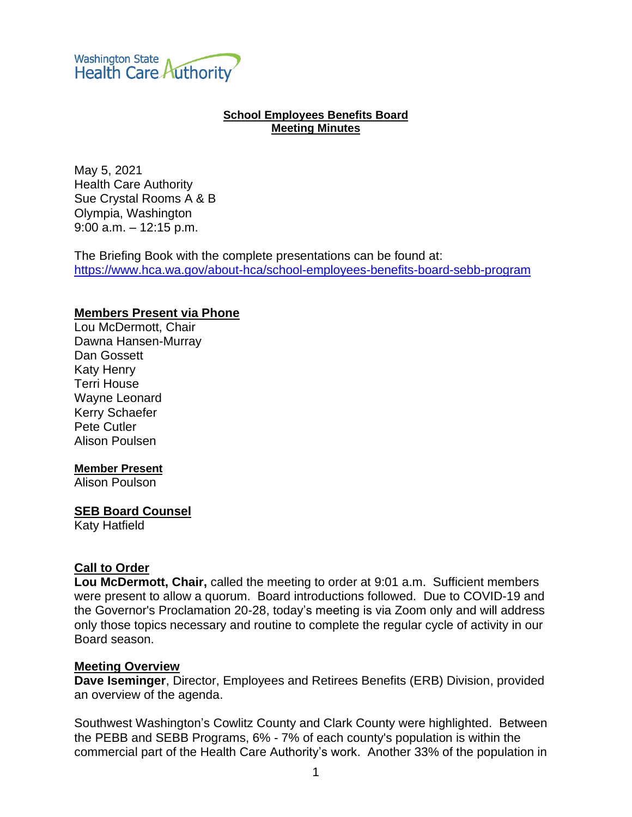**Washington State Health Care Authority** 

### **School Employees Benefits Board Meeting Minutes**

May 5, 2021 Health Care Authority Sue Crystal Rooms A & B Olympia, Washington 9:00 a.m. – 12:15 p.m.

The Briefing Book with the complete presentations can be found at: <https://www.hca.wa.gov/about-hca/school-employees-benefits-board-sebb-program>

### **Members Present via Phone**

Lou McDermott, Chair Dawna Hansen-Murray Dan Gossett Katy Henry Terri House Wayne Leonard Kerry Schaefer Pete Cutler Alison Poulsen

#### **Member Present**

Alison Poulson

### **SEB Board Counsel**

Katy Hatfield

#### **Call to Order**

**Lou McDermott, Chair,** called the meeting to order at 9:01 a.m. Sufficient members were present to allow a quorum. Board introductions followed. Due to COVID-19 and the Governor's Proclamation 20-28, today's meeting is via Zoom only and will address only those topics necessary and routine to complete the regular cycle of activity in our Board season.

#### **Meeting Overview**

**Dave Iseminger**, Director, Employees and Retirees Benefits (ERB) Division, provided an overview of the agenda.

Southwest Washington's Cowlitz County and Clark County were highlighted. Between the PEBB and SEBB Programs, 6% - 7% of each county's population is within the commercial part of the Health Care Authority's work. Another 33% of the population in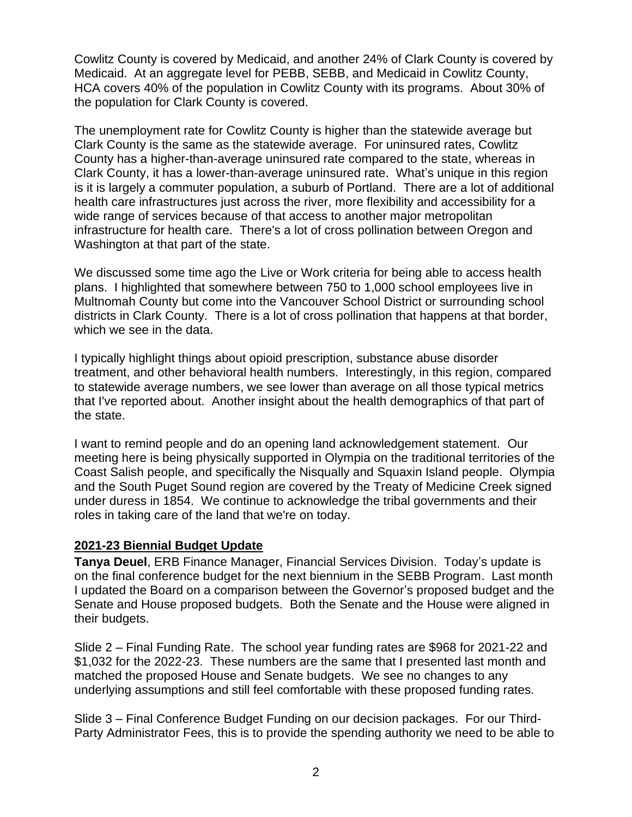Cowlitz County is covered by Medicaid, and another 24% of Clark County is covered by Medicaid. At an aggregate level for PEBB, SEBB, and Medicaid in Cowlitz County, HCA covers 40% of the population in Cowlitz County with its programs. About 30% of the population for Clark County is covered.

The unemployment rate for Cowlitz County is higher than the statewide average but Clark County is the same as the statewide average. For uninsured rates, Cowlitz County has a higher-than-average uninsured rate compared to the state, whereas in Clark County, it has a lower-than-average uninsured rate. What's unique in this region is it is largely a commuter population, a suburb of Portland. There are a lot of additional health care infrastructures just across the river, more flexibility and accessibility for a wide range of services because of that access to another major metropolitan infrastructure for health care. There's a lot of cross pollination between Oregon and Washington at that part of the state.

We discussed some time ago the Live or Work criteria for being able to access health plans. I highlighted that somewhere between 750 to 1,000 school employees live in Multnomah County but come into the Vancouver School District or surrounding school districts in Clark County. There is a lot of cross pollination that happens at that border, which we see in the data.

I typically highlight things about opioid prescription, substance abuse disorder treatment, and other behavioral health numbers. Interestingly, in this region, compared to statewide average numbers, we see lower than average on all those typical metrics that I've reported about. Another insight about the health demographics of that part of the state.

I want to remind people and do an opening land acknowledgement statement. Our meeting here is being physically supported in Olympia on the traditional territories of the Coast Salish people, and specifically the Nisqually and Squaxin Island people. Olympia and the South Puget Sound region are covered by the Treaty of Medicine Creek signed under duress in 1854. We continue to acknowledge the tribal governments and their roles in taking care of the land that we're on today.

## **2021-23 Biennial Budget Update**

**Tanya Deuel**, ERB Finance Manager, Financial Services Division. Today's update is on the final conference budget for the next biennium in the SEBB Program. Last month I updated the Board on a comparison between the Governor's proposed budget and the Senate and House proposed budgets. Both the Senate and the House were aligned in their budgets.

Slide 2 – Final Funding Rate. The school year funding rates are \$968 for 2021-22 and \$1,032 for the 2022-23. These numbers are the same that I presented last month and matched the proposed House and Senate budgets. We see no changes to any underlying assumptions and still feel comfortable with these proposed funding rates.

Slide 3 – Final Conference Budget Funding on our decision packages. For our Third-Party Administrator Fees, this is to provide the spending authority we need to be able to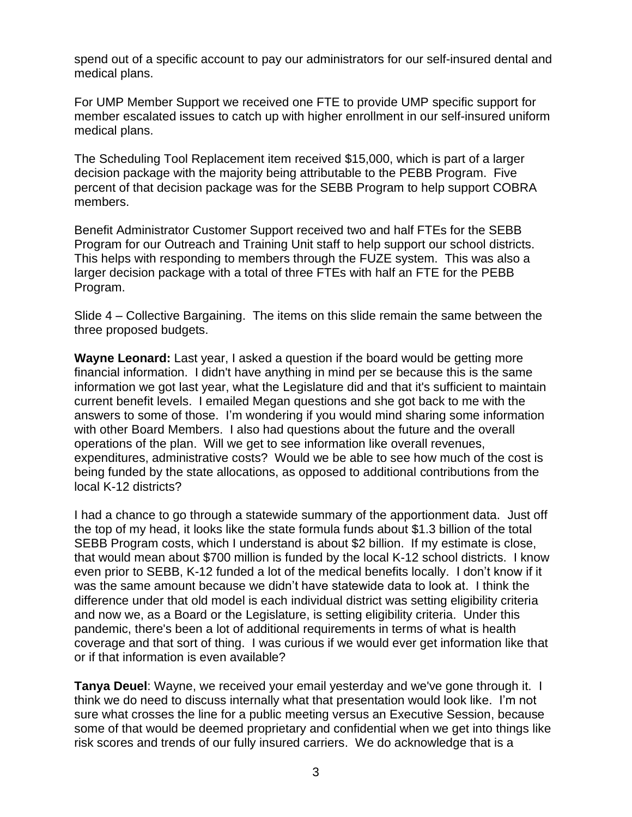spend out of a specific account to pay our administrators for our self-insured dental and medical plans.

For UMP Member Support we received one FTE to provide UMP specific support for member escalated issues to catch up with higher enrollment in our self-insured uniform medical plans.

The Scheduling Tool Replacement item received \$15,000, which is part of a larger decision package with the majority being attributable to the PEBB Program. Five percent of that decision package was for the SEBB Program to help support COBRA members.

Benefit Administrator Customer Support received two and half FTEs for the SEBB Program for our Outreach and Training Unit staff to help support our school districts. This helps with responding to members through the FUZE system. This was also a larger decision package with a total of three FTEs with half an FTE for the PEBB Program.

Slide 4 – Collective Bargaining. The items on this slide remain the same between the three proposed budgets.

**Wayne Leonard:** Last year, I asked a question if the board would be getting more financial information. I didn't have anything in mind per se because this is the same information we got last year, what the Legislature did and that it's sufficient to maintain current benefit levels. I emailed Megan questions and she got back to me with the answers to some of those. I'm wondering if you would mind sharing some information with other Board Members. I also had questions about the future and the overall operations of the plan. Will we get to see information like overall revenues, expenditures, administrative costs? Would we be able to see how much of the cost is being funded by the state allocations, as opposed to additional contributions from the local K-12 districts?

I had a chance to go through a statewide summary of the apportionment data. Just off the top of my head, it looks like the state formula funds about \$1.3 billion of the total SEBB Program costs, which I understand is about \$2 billion. If my estimate is close, that would mean about \$700 million is funded by the local K-12 school districts. I know even prior to SEBB, K-12 funded a lot of the medical benefits locally. I don't know if it was the same amount because we didn't have statewide data to look at. I think the difference under that old model is each individual district was setting eligibility criteria and now we, as a Board or the Legislature, is setting eligibility criteria. Under this pandemic, there's been a lot of additional requirements in terms of what is health coverage and that sort of thing. I was curious if we would ever get information like that or if that information is even available?

**Tanya Deuel**: Wayne, we received your email yesterday and we've gone through it. I think we do need to discuss internally what that presentation would look like. I'm not sure what crosses the line for a public meeting versus an Executive Session, because some of that would be deemed proprietary and confidential when we get into things like risk scores and trends of our fully insured carriers. We do acknowledge that is a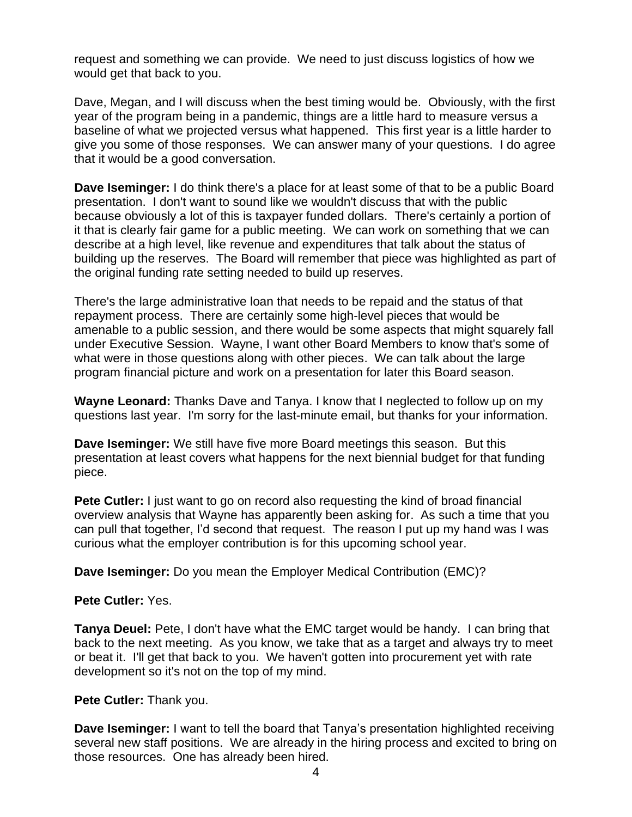request and something we can provide. We need to just discuss logistics of how we would get that back to you.

Dave, Megan, and I will discuss when the best timing would be. Obviously, with the first year of the program being in a pandemic, things are a little hard to measure versus a baseline of what we projected versus what happened. This first year is a little harder to give you some of those responses. We can answer many of your questions. I do agree that it would be a good conversation.

**Dave Iseminger:** I do think there's a place for at least some of that to be a public Board presentation. I don't want to sound like we wouldn't discuss that with the public because obviously a lot of this is taxpayer funded dollars. There's certainly a portion of it that is clearly fair game for a public meeting. We can work on something that we can describe at a high level, like revenue and expenditures that talk about the status of building up the reserves. The Board will remember that piece was highlighted as part of the original funding rate setting needed to build up reserves.

There's the large administrative loan that needs to be repaid and the status of that repayment process. There are certainly some high-level pieces that would be amenable to a public session, and there would be some aspects that might squarely fall under Executive Session. Wayne, I want other Board Members to know that's some of what were in those questions along with other pieces. We can talk about the large program financial picture and work on a presentation for later this Board season.

**Wayne Leonard:** Thanks Dave and Tanya. I know that I neglected to follow up on my questions last year. I'm sorry for the last-minute email, but thanks for your information.

**Dave Iseminger:** We still have five more Board meetings this season. But this presentation at least covers what happens for the next biennial budget for that funding piece.

**Pete Cutler:** I just want to go on record also requesting the kind of broad financial overview analysis that Wayne has apparently been asking for. As such a time that you can pull that together, I'd second that request. The reason I put up my hand was I was curious what the employer contribution is for this upcoming school year.

**Dave Iseminger:** Do you mean the Employer Medical Contribution (EMC)?

## **Pete Cutler:** Yes.

**Tanya Deuel:** Pete, I don't have what the EMC target would be handy. I can bring that back to the next meeting. As you know, we take that as a target and always try to meet or beat it. I'll get that back to you. We haven't gotten into procurement yet with rate development so it's not on the top of my mind.

## **Pete Cutler:** Thank you.

**Dave Iseminger:** I want to tell the board that Tanya's presentation highlighted receiving several new staff positions. We are already in the hiring process and excited to bring on those resources. One has already been hired.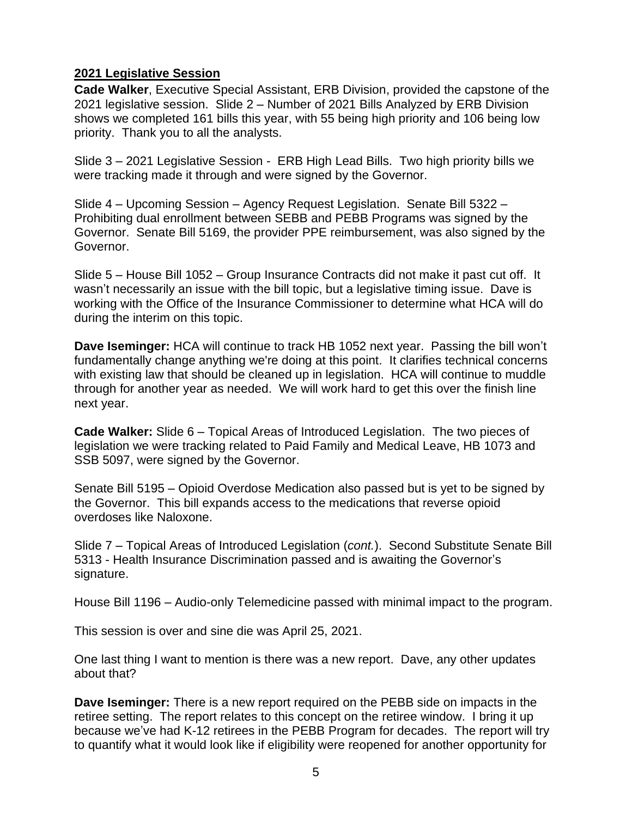## **2021 Legislative Session**

**Cade Walker**, Executive Special Assistant, ERB Division, provided the capstone of the 2021 legislative session. Slide 2 – Number of 2021 Bills Analyzed by ERB Division shows we completed 161 bills this year, with 55 being high priority and 106 being low priority. Thank you to all the analysts.

Slide 3 – 2021 Legislative Session - ERB High Lead Bills. Two high priority bills we were tracking made it through and were signed by the Governor.

Slide 4 – Upcoming Session – Agency Request Legislation. Senate Bill 5322 – Prohibiting dual enrollment between SEBB and PEBB Programs was signed by the Governor. Senate Bill 5169, the provider PPE reimbursement, was also signed by the Governor.

Slide 5 – House Bill 1052 – Group Insurance Contracts did not make it past cut off. It wasn't necessarily an issue with the bill topic, but a legislative timing issue. Dave is working with the Office of the Insurance Commissioner to determine what HCA will do during the interim on this topic.

**Dave Iseminger:** HCA will continue to track HB 1052 next year. Passing the bill won't fundamentally change anything we're doing at this point. It clarifies technical concerns with existing law that should be cleaned up in legislation. HCA will continue to muddle through for another year as needed. We will work hard to get this over the finish line next year.

**Cade Walker:** Slide 6 – Topical Areas of Introduced Legislation. The two pieces of legislation we were tracking related to Paid Family and Medical Leave, HB 1073 and SSB 5097, were signed by the Governor.

Senate Bill 5195 – Opioid Overdose Medication also passed but is yet to be signed by the Governor. This bill expands access to the medications that reverse opioid overdoses like Naloxone.

Slide 7 – Topical Areas of Introduced Legislation (*cont.*). Second Substitute Senate Bill 5313 - Health Insurance Discrimination passed and is awaiting the Governor's signature.

House Bill 1196 – Audio-only Telemedicine passed with minimal impact to the program.

This session is over and sine die was April 25, 2021.

One last thing I want to mention is there was a new report. Dave, any other updates about that?

**Dave Iseminger:** There is a new report required on the PEBB side on impacts in the retiree setting. The report relates to this concept on the retiree window. I bring it up because we've had K-12 retirees in the PEBB Program for decades. The report will try to quantify what it would look like if eligibility were reopened for another opportunity for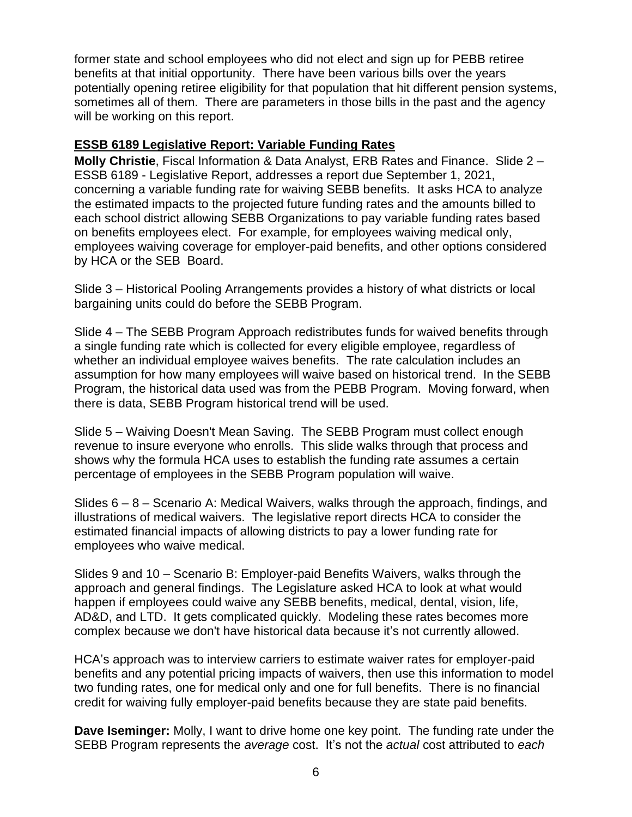former state and school employees who did not elect and sign up for PEBB retiree benefits at that initial opportunity. There have been various bills over the years potentially opening retiree eligibility for that population that hit different pension systems, sometimes all of them. There are parameters in those bills in the past and the agency will be working on this report.

# **ESSB 6189 Legislative Report: Variable Funding Rates**

**Molly Christie**, Fiscal Information & Data Analyst, ERB Rates and Finance. Slide 2 – ESSB 6189 - Legislative Report, addresses a report due September 1, 2021, concerning a variable funding rate for waiving SEBB benefits. It asks HCA to analyze the estimated impacts to the projected future funding rates and the amounts billed to each school district allowing SEBB Organizations to pay variable funding rates based on benefits employees elect. For example, for employees waiving medical only, employees waiving coverage for employer-paid benefits, and other options considered by HCA or the SEB Board.

Slide 3 – Historical Pooling Arrangements provides a history of what districts or local bargaining units could do before the SEBB Program.

Slide 4 – The SEBB Program Approach redistributes funds for waived benefits through a single funding rate which is collected for every eligible employee, regardless of whether an individual employee waives benefits. The rate calculation includes an assumption for how many employees will waive based on historical trend. In the SEBB Program, the historical data used was from the PEBB Program. Moving forward, when there is data, SEBB Program historical trend will be used.

Slide 5 – Waiving Doesn't Mean Saving. The SEBB Program must collect enough revenue to insure everyone who enrolls. This slide walks through that process and shows why the formula HCA uses to establish the funding rate assumes a certain percentage of employees in the SEBB Program population will waive.

Slides  $6 - 8 -$  Scenario A: Medical Waivers, walks through the approach, findings, and illustrations of medical waivers. The legislative report directs HCA to consider the estimated financial impacts of allowing districts to pay a lower funding rate for employees who waive medical.

Slides 9 and 10 – Scenario B: Employer-paid Benefits Waivers, walks through the approach and general findings. The Legislature asked HCA to look at what would happen if employees could waive any SEBB benefits, medical, dental, vision, life, AD&D, and LTD. It gets complicated quickly. Modeling these rates becomes more complex because we don't have historical data because it's not currently allowed.

HCA's approach was to interview carriers to estimate waiver rates for employer-paid benefits and any potential pricing impacts of waivers, then use this information to model two funding rates, one for medical only and one for full benefits. There is no financial credit for waiving fully employer-paid benefits because they are state paid benefits.

**Dave Iseminger:** Molly, I want to drive home one key point. The funding rate under the SEBB Program represents the *average* cost. It's not the *actual* cost attributed to *each*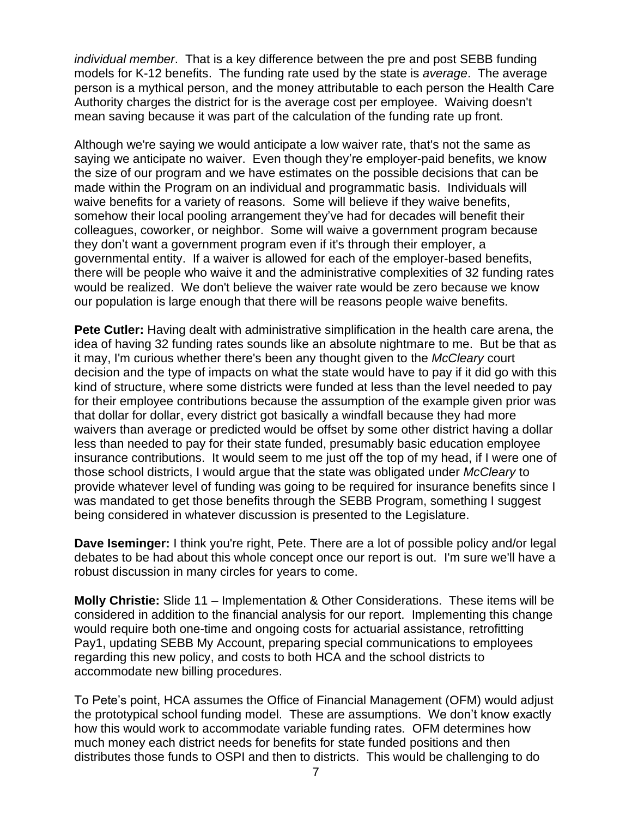*individual member*. That is a key difference between the pre and post SEBB funding models for K-12 benefits. The funding rate used by the state is *average*. The average person is a mythical person, and the money attributable to each person the Health Care Authority charges the district for is the average cost per employee. Waiving doesn't mean saving because it was part of the calculation of the funding rate up front.

Although we're saying we would anticipate a low waiver rate, that's not the same as saying we anticipate no waiver. Even though they're employer-paid benefits, we know the size of our program and we have estimates on the possible decisions that can be made within the Program on an individual and programmatic basis. Individuals will waive benefits for a variety of reasons. Some will believe if they waive benefits, somehow their local pooling arrangement they've had for decades will benefit their colleagues, coworker, or neighbor. Some will waive a government program because they don't want a government program even if it's through their employer, a governmental entity. If a waiver is allowed for each of the employer-based benefits, there will be people who waive it and the administrative complexities of 32 funding rates would be realized. We don't believe the waiver rate would be zero because we know our population is large enough that there will be reasons people waive benefits.

**Pete Cutler:** Having dealt with administrative simplification in the health care arena, the idea of having 32 funding rates sounds like an absolute nightmare to me. But be that as it may, I'm curious whether there's been any thought given to the *McCleary* court decision and the type of impacts on what the state would have to pay if it did go with this kind of structure, where some districts were funded at less than the level needed to pay for their employee contributions because the assumption of the example given prior was that dollar for dollar, every district got basically a windfall because they had more waivers than average or predicted would be offset by some other district having a dollar less than needed to pay for their state funded, presumably basic education employee insurance contributions. It would seem to me just off the top of my head, if I were one of those school districts, I would argue that the state was obligated under *McCleary* to provide whatever level of funding was going to be required for insurance benefits since I was mandated to get those benefits through the SEBB Program, something I suggest being considered in whatever discussion is presented to the Legislature.

**Dave Iseminger:** I think you're right, Pete. There are a lot of possible policy and/or legal debates to be had about this whole concept once our report is out. I'm sure we'll have a robust discussion in many circles for years to come.

**Molly Christie:** Slide 11 – Implementation & Other Considerations. These items will be considered in addition to the financial analysis for our report. Implementing this change would require both one-time and ongoing costs for actuarial assistance, retrofitting Pay1, updating SEBB My Account, preparing special communications to employees regarding this new policy, and costs to both HCA and the school districts to accommodate new billing procedures.

To Pete's point, HCA assumes the Office of Financial Management (OFM) would adjust the prototypical school funding model. These are assumptions. We don't know exactly how this would work to accommodate variable funding rates. OFM determines how much money each district needs for benefits for state funded positions and then distributes those funds to OSPI and then to districts. This would be challenging to do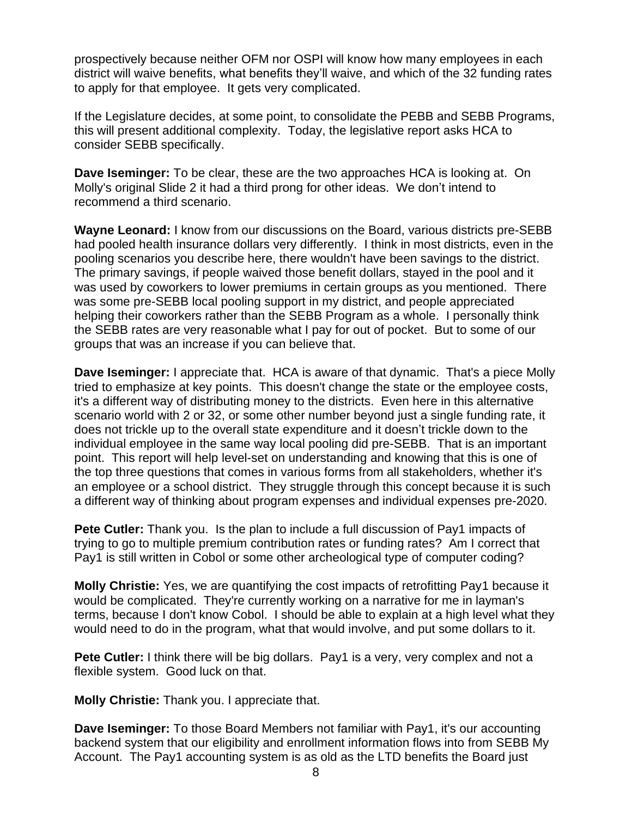prospectively because neither OFM nor OSPI will know how many employees in each district will waive benefits, what benefits they'll waive, and which of the 32 funding rates to apply for that employee. It gets very complicated.

If the Legislature decides, at some point, to consolidate the PEBB and SEBB Programs, this will present additional complexity. Today, the legislative report asks HCA to consider SEBB specifically.

**Dave Iseminger:** To be clear, these are the two approaches HCA is looking at. On Molly's original Slide 2 it had a third prong for other ideas. We don't intend to recommend a third scenario.

**Wayne Leonard:** I know from our discussions on the Board, various districts pre-SEBB had pooled health insurance dollars very differently. I think in most districts, even in the pooling scenarios you describe here, there wouldn't have been savings to the district. The primary savings, if people waived those benefit dollars, stayed in the pool and it was used by coworkers to lower premiums in certain groups as you mentioned. There was some pre-SEBB local pooling support in my district, and people appreciated helping their coworkers rather than the SEBB Program as a whole. I personally think the SEBB rates are very reasonable what I pay for out of pocket. But to some of our groups that was an increase if you can believe that.

**Dave Iseminger:** I appreciate that. HCA is aware of that dynamic. That's a piece Molly tried to emphasize at key points. This doesn't change the state or the employee costs, it's a different way of distributing money to the districts. Even here in this alternative scenario world with 2 or 32, or some other number beyond just a single funding rate, it does not trickle up to the overall state expenditure and it doesn't trickle down to the individual employee in the same way local pooling did pre-SEBB. That is an important point. This report will help level-set on understanding and knowing that this is one of the top three questions that comes in various forms from all stakeholders, whether it's an employee or a school district. They struggle through this concept because it is such a different way of thinking about program expenses and individual expenses pre-2020.

**Pete Cutler:** Thank you. Is the plan to include a full discussion of Pay1 impacts of trying to go to multiple premium contribution rates or funding rates? Am I correct that Pay1 is still written in Cobol or some other archeological type of computer coding?

**Molly Christie:** Yes, we are quantifying the cost impacts of retrofitting Pay1 because it would be complicated. They're currently working on a narrative for me in layman's terms, because I don't know Cobol. I should be able to explain at a high level what they would need to do in the program, what that would involve, and put some dollars to it.

**Pete Cutler:** I think there will be big dollars. Pay1 is a very, very complex and not a flexible system. Good luck on that.

**Molly Christie:** Thank you. I appreciate that.

**Dave Iseminger:** To those Board Members not familiar with Pay1, it's our accounting backend system that our eligibility and enrollment information flows into from SEBB My Account. The Pay1 accounting system is as old as the LTD benefits the Board just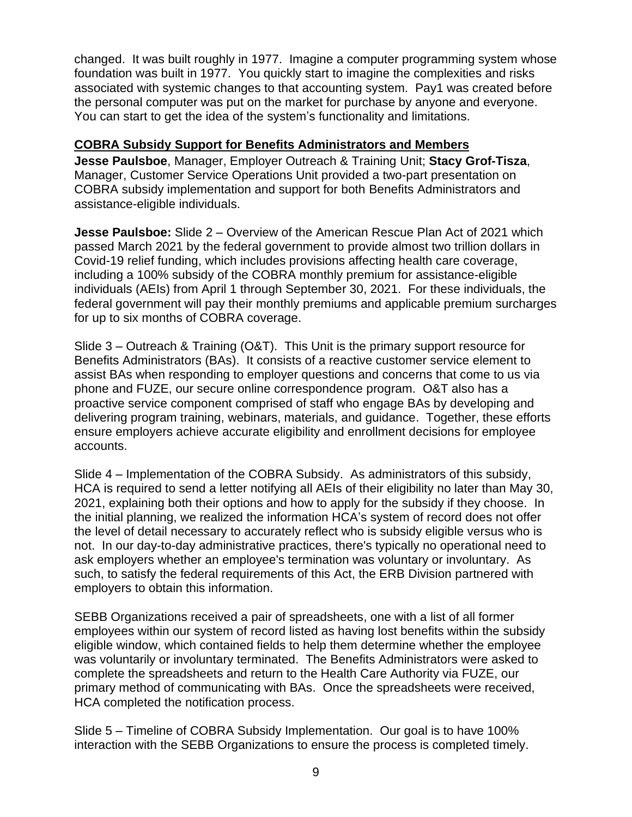changed. It was built roughly in 1977. Imagine a computer programming system whose foundation was built in 1977. You quickly start to imagine the complexities and risks associated with systemic changes to that accounting system. Pay1 was created before the personal computer was put on the market for purchase by anyone and everyone. You can start to get the idea of the system's functionality and limitations.

# **COBRA Subsidy Support for Benefits Administrators and Members**

**Jesse Paulsboe**, Manager, Employer Outreach & Training Unit; **Stacy Grof-Tisza**, Manager, Customer Service Operations Unit provided a two-part presentation on COBRA subsidy implementation and support for both Benefits Administrators and assistance-eligible individuals.

**Jesse Paulsboe:** Slide 2 – Overview of the American Rescue Plan Act of 2021 which passed March 2021 by the federal government to provide almost two trillion dollars in Covid-19 relief funding, which includes provisions affecting health care coverage, including a 100% subsidy of the COBRA monthly premium for assistance-eligible individuals (AEIs) from April 1 through September 30, 2021. For these individuals, the federal government will pay their monthly premiums and applicable premium surcharges for up to six months of COBRA coverage.

Slide 3 – Outreach & Training (O&T). This Unit is the primary support resource for Benefits Administrators (BAs). It consists of a reactive customer service element to assist BAs when responding to employer questions and concerns that come to us via phone and FUZE, our secure online correspondence program. O&T also has a proactive service component comprised of staff who engage BAs by developing and delivering program training, webinars, materials, and guidance. Together, these efforts ensure employers achieve accurate eligibility and enrollment decisions for employee accounts.

Slide 4 – Implementation of the COBRA Subsidy. As administrators of this subsidy, HCA is required to send a letter notifying all AEIs of their eligibility no later than May 30, 2021, explaining both their options and how to apply for the subsidy if they choose. In the initial planning, we realized the information HCA's system of record does not offer the level of detail necessary to accurately reflect who is subsidy eligible versus who is not. In our day-to-day administrative practices, there's typically no operational need to ask employers whether an employee's termination was voluntary or involuntary. As such, to satisfy the federal requirements of this Act, the ERB Division partnered with employers to obtain this information.

SEBB Organizations received a pair of spreadsheets, one with a list of all former employees within our system of record listed as having lost benefits within the subsidy eligible window, which contained fields to help them determine whether the employee was voluntarily or involuntary terminated. The Benefits Administrators were asked to complete the spreadsheets and return to the Health Care Authority via FUZE, our primary method of communicating with BAs. Once the spreadsheets were received, HCA completed the notification process.

Slide 5 – Timeline of COBRA Subsidy Implementation. Our goal is to have 100% interaction with the SEBB Organizations to ensure the process is completed timely.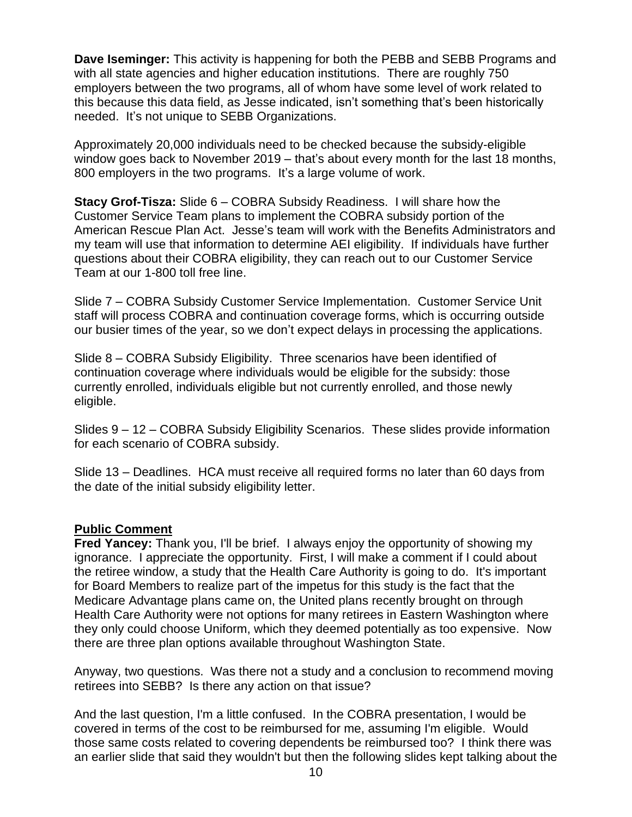**Dave Iseminger:** This activity is happening for both the PEBB and SEBB Programs and with all state agencies and higher education institutions. There are roughly 750 employers between the two programs, all of whom have some level of work related to this because this data field, as Jesse indicated, isn't something that's been historically needed. It's not unique to SEBB Organizations.

Approximately 20,000 individuals need to be checked because the subsidy-eligible window goes back to November 2019 – that's about every month for the last 18 months, 800 employers in the two programs. It's a large volume of work.

**Stacy Grof-Tisza:** Slide 6 – COBRA Subsidy Readiness. I will share how the Customer Service Team plans to implement the COBRA subsidy portion of the American Rescue Plan Act. Jesse's team will work with the Benefits Administrators and my team will use that information to determine AEI eligibility. If individuals have further questions about their COBRA eligibility, they can reach out to our Customer Service Team at our 1-800 toll free line.

Slide 7 – COBRA Subsidy Customer Service Implementation. Customer Service Unit staff will process COBRA and continuation coverage forms, which is occurring outside our busier times of the year, so we don't expect delays in processing the applications.

Slide 8 – COBRA Subsidy Eligibility. Three scenarios have been identified of continuation coverage where individuals would be eligible for the subsidy: those currently enrolled, individuals eligible but not currently enrolled, and those newly eligible.

Slides 9 – 12 – COBRA Subsidy Eligibility Scenarios. These slides provide information for each scenario of COBRA subsidy.

Slide 13 – Deadlines. HCA must receive all required forms no later than 60 days from the date of the initial subsidy eligibility letter.

## **Public Comment**

**Fred Yancey:** Thank you, I'll be brief. I always enjoy the opportunity of showing my ignorance. I appreciate the opportunity. First, I will make a comment if I could about the retiree window, a study that the Health Care Authority is going to do. It's important for Board Members to realize part of the impetus for this study is the fact that the Medicare Advantage plans came on, the United plans recently brought on through Health Care Authority were not options for many retirees in Eastern Washington where they only could choose Uniform, which they deemed potentially as too expensive. Now there are three plan options available throughout Washington State.

Anyway, two questions. Was there not a study and a conclusion to recommend moving retirees into SEBB? Is there any action on that issue?

And the last question, I'm a little confused. In the COBRA presentation, I would be covered in terms of the cost to be reimbursed for me, assuming I'm eligible. Would those same costs related to covering dependents be reimbursed too? I think there was an earlier slide that said they wouldn't but then the following slides kept talking about the